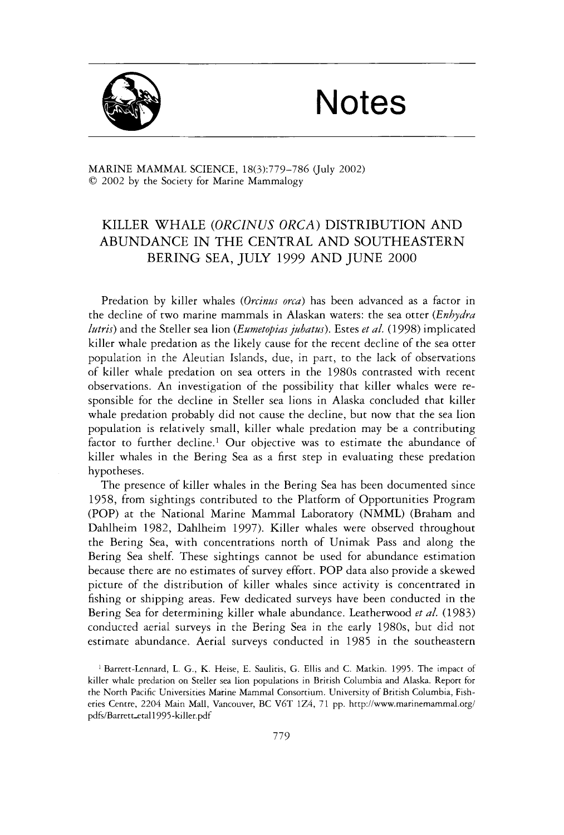## Notes



MARINE MAMMAL SCIENCE, 18(3):779-786 (July 2002) *0* 2002 by the Society for Marine Mammalogy

## KILLER WHALE *(ORCZNUS ORCA)* DISTRIBUTION AND ABUNDANCE IN THE CENTRAL AND SOUTHEASTERN BERING SEA, JULY 1999 AND JUNE 2000

Predation by killer whales (Orcinus orca) has been advanced as a factor in the decline of two marine mammals in Alaskan waters: the sea otter *(Enhydra lutris*) and the Steller sea lion *(Eumetopias jubatus)*. Estes *et al.* (1998) implicated killer whale predation as the likely cause for the recent decline of the sea otter population in the Aleutian Islands, due, in part, to the lack of observations of killer whale predation on sea otters in the 1980s contrasted with recent observations. An investigation of the possibility that killer whales were responsible for the decline in Steller sea lions in Alaska concluded that killer whale predation probably did not cause the decline, but now that the sea lion population is relatively small, killer whale predation may be a contributing factor to further decline.' Our objective was to estimate the abundance of killer whales in the Bering Sea as a first step in evaluating these predation hypotheses.

The presence of killer whales in the Bering Sea has been documented since 1958, from sightings contributed to the Platform of Opportunities Program (POP) at the National Marine Mammal Laboratory (NMML) (Braham and Dahlheim 1982, Dahlheim 1997). Killer whales were observed throughout the Bering Sea, with concentrations north of Unimak Pass and along the Bering Sea shelf. These sightings cannot be used for abundance estimation because there are no estimates of survey effort. POP data also provide a skewed picture of the distribution of killer whales since activity is concentrated in fishing or shipping areas. Few dedicated surveys have been conducted in the Bering Sea for determining killer whale abundance. Leatherwood *et al.* (1983) conducted aerial surveys in the Bering Sea in the early 1980s, but did not estimate abundance. Aerial surveys conducted in 1985 in the southeastern

<sup>1</sup> Barrett-Lennard, L. G., K. Heise, E. Saulitis, G. Ellis and C. Matkin. 1995. The impact of killer whale predation on Steller sea lion populations in British Columbia and Alaska. Report for the North Pacific Universities Marine Mammal Consortium. University of British Columbia, Fisheries Centre, *2204* Main Mall, Vancouver, BC V6T 124, 7 1 pp. **hctp://www.marinemammal.org/**  pdfs/Barrett\_etal1995-killer.pdf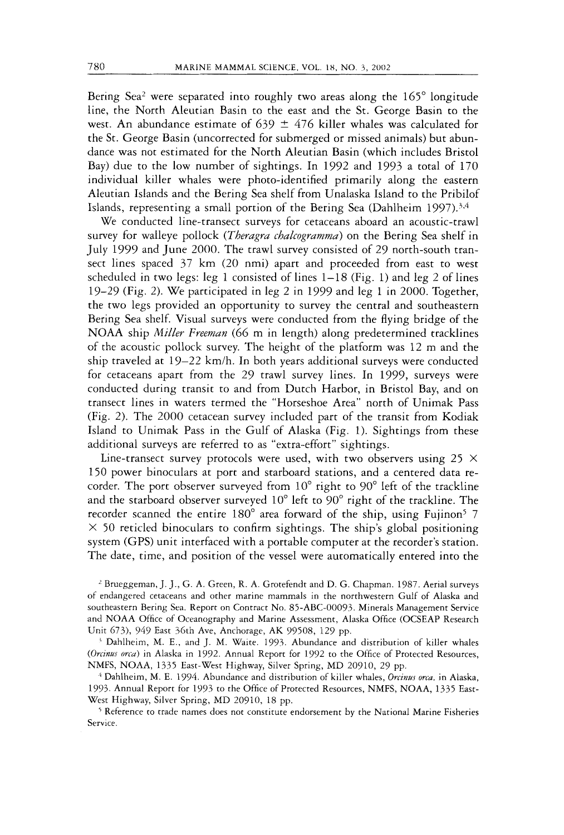Bering Sea<sup>2</sup> were separated into roughly two areas along the 165° longitude line, the North Aleutian Basin to the east and the St. George Basin to the west. An abundance estimate of 639  $\pm$  476 killer whales was calculated for the St. George Basin (uncorrected for submerged or missed animals) but abundance was not estimated for the North Aleutian Basin (which includes Bristol Bay) due to the low number of sightings. In 1992 and 1993 a total of 170 individual killer whales were photo-identified primarily along the eastern Aleutian Islands and the Bering Sea shelf from Unalaska Island to the Pribilof Islands, representing a small portion of the Bering Sea (Dahlheim 1997).<sup>3,4</sup>

We conducted line-transect surveys for cetaceans aboard an acoustic-trawl survey for walleye pollock *(Theragra chalcogramma)* on the Bering Sea shelf in July 1999 and June 2000. The trawl survey consisted of 29 north-south transect lines spaced 37 km (20 nmi) apart and proceeded from east to west scheduled in two legs: leg 1 consisted of lines  $1-18$  (Fig. 1) and leg 2 of lines 19-29 (Fig. 2). We participated in leg 2 in 1999 and leg 1 in 2000. Together, the two legs provided an opportunity to survey the central and southeastern Bering Sea shelf. Visual surveys were conducted from the flying bridge of the NOAA ship *Miller Freeman* (66 m in length) along predetermined tracklines of the acoustic pollock survey. The height of the platform was 12 m and the ship traveled at  $19-22$  km/h. In both years additional surveys were conducted for cetaceans apart from the 29 trawl survey lines. In 1999, surveys were conducted during transit to and from Dutch Harbor, in Bristol Bay, and on transect lines in waters termed the "Horseshoe Area" north of Unimak Pass (Fig. 2). The 2000 cetacean survey included part of the transit from Kodiak Island to Unimak Pass in the Gulf of Alaska (Fig. 1). Sightings from these additional surveys are referred to as "extra-effort'' sightings.

Line-transect survey protocols were used, with two observers using 25  $\times$ 150 power binoculars at port and starboard stations, and a centered data recorder. The port observer surveyed from  $10^{\circ}$  right to  $90^{\circ}$  left of the trackline and the starboard observer surveyed 10" left to 90" right of the trackline. The recorder scanned the entire 180° area forward of the ship, using Fujinon<sup>5</sup> 7  $\times$  50 reticled binoculars to confirm sightings. The ship's global positioning system (GPS) unit interfaced with a portable computer at the recorder's station. The date, time, and position of the vessel were automatically entered into the

<sup>2</sup> Brueggeman, J. J., G. A. Green, R. A. Grotefendt and D. G. Chapman. 1987. Aerial surveys of endangered cetaceans and other marine mammals in the northwestern Gulf of Alaska and southeastern Bering Sea. Report on Contract No. 85-ABC-00093. Minerals Management Service and NOAA Office of Oceanography and Marine Assessment, Alaska Office (OCSEAP Research Unit 673), 949 East 36th Ave, Anchorage, AK 99508, 129 pp.

Dahlheim, M. E., and J. M. Waite. 1993. Abundance and distribution of killer whales *(Orcinus orca)* in Alaska in 1992. Annual Report for 1992 to the Office of Protected Resources, NMFS, NOAA, 1335 East-West Highway, Silver Spring, MD 20910, 29 pp.

<sup>4</sup> Dahlheim, M. E. 1994. Abundance and distribution of killer whales, *Orcinus orca*, in Alaska, 1993. Annual Report for 1991 to the Office of Protected Resources, NMFS, NOAA, 1335 East-West Highway, Silver Spring, MD 20910, 18 pp.

Reference to trade names does not constitute endorsement by the National Marine Fisheries Service.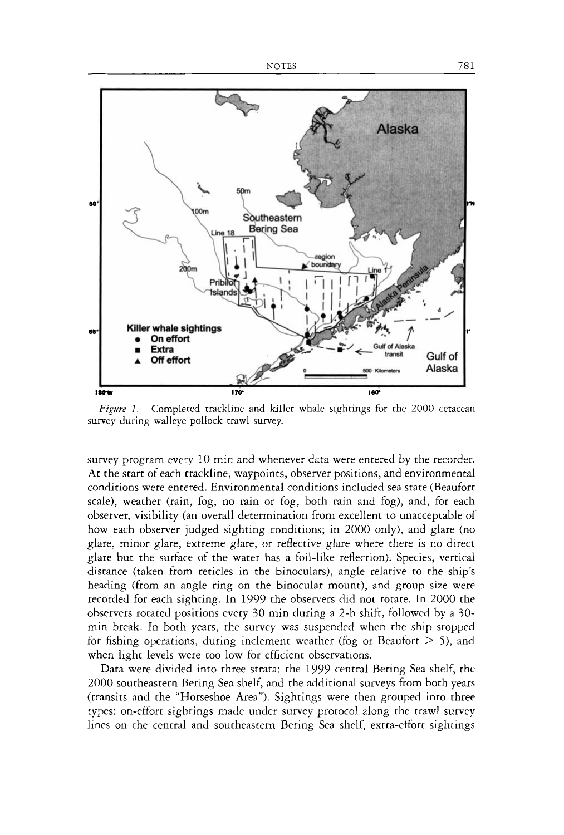

*Figure 1.* Completed trackline and killer whale sightings for the 2000 cetacean survey during walleye pollock trawl survey.

survey program every 10 min and whenever data were entered by the recorder. At the start of each trackline, waypoints, observer positions, and environmental conditions were entered. Environmental conditions included sea state (Beaufort scale), weather (rain, fog, no rain or fog, both rain and fog), and, for each observer, visibility (an overall determination from excellent to unacceptable of how each observer judged sighting conditions; in 2000 only), and glare (no glare, minor glare, extreme glare, or reflective glare where there is no direct glare but the surface of the water has a foil-like reflection). Species, vertical distance (taken from reticles in the binoculars), angle relative to the ship's heading (from an angle ring on the binocular mount), and group size were recorded for each sighting. In 1999 the observers did not rotate. In 2000 the observers rotated positions every 30 min during a 2-h shift, followed by a *30*  min break. In both years, the survey was suspended when the ship stopped for fishing operations, during inclement weather (fog or Beaufort > *5),* and when light levels were too low for efficient observations.

Data were divided into three strata: the 1999 central Bering Sea shelf, the 2000 southeastern Bering Sea shelf, and the additional surveys from both years (transits and the "Horseshoe Area"). Sightings were then grouped into three types: on-effort sightings made under survey protocol along the trawl survey lines on the central and southeastern Bering Sea shelf, extra-effort sightings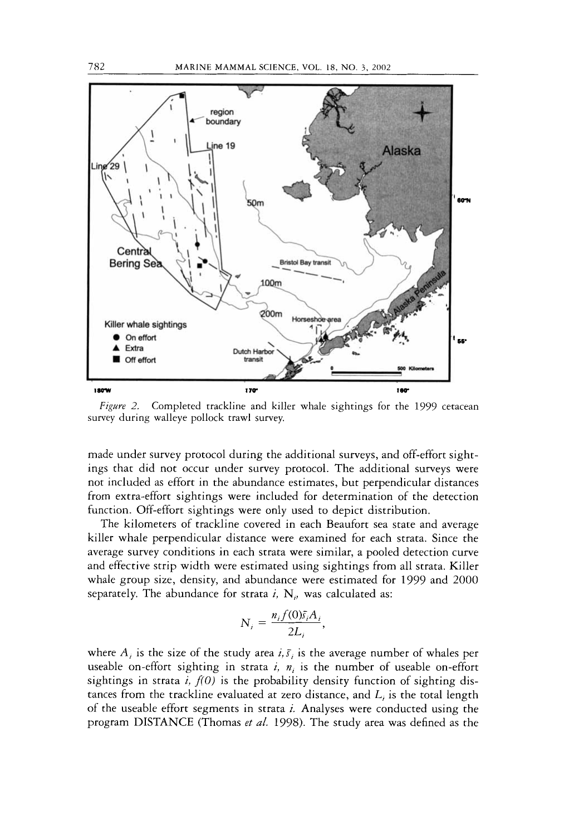

*Figwe 2.* Completed trackline and killer whale sightings for the 1999 cetacean survey during walleye pollock trawl survey.

made under survey protocol during the additional surveys, and off-effort sightings that did not occur under survey protocol. The additional surveys were not included as effort in the abundance estimates, but perpendicular distances from extra-effort sightings were included for determination of the detection function. Off-effort sightings were only used to depict distribution.

The kilometers of trackline covered in each Beaufort sea state and average killer whale perpendicular distance were examined for each strata. Since the average survey conditions in each strata were similar, a pooled detection curve and effective strip width were estimated using sightings from all strata. Killer whale group size, density, and abundance were estimated for 1999 and 2000 separately. The abundance for strata  $i$ ,  $N_{ij}$  was calculated as:

$$
N_i = \frac{n_i f(0) \bar{s}_i A_i}{2L_i}
$$

where  $A_i$  is the size of the study area  $i, \bar{s}$  is the average number of whales per useable on-effort sighting in strata  $i$ ,  $n_i$  is the number of useable on-effort sightings in strata  $i$ ,  $f(0)$  is the probability density function of sighting distances from the trackline evaluated at zero distance, and *L,* is the total length of the useable effort segments in strata *i.* Analyses were conducted using the program DISTANCE (Thomas *et a/.* 1998). The study area was defined as the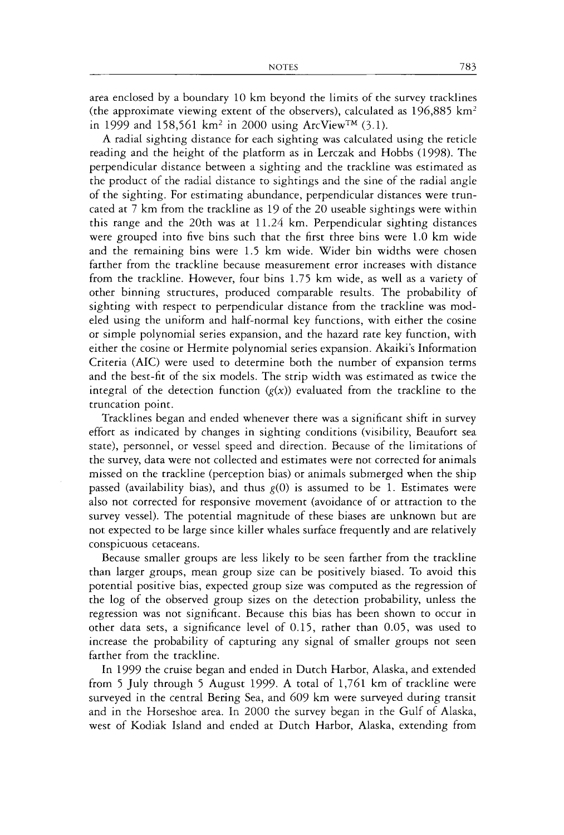area enclosed by a boundary 10 km beyond the limits of the survey tracklines (the approximate viewing extent of the observers), calculated as  $196,885$  km<sup>2</sup> in 1999 and 158,561 km<sup>2</sup> in 2000 using ArcView<sup>TM</sup> (3.1).

A radial sighting distance for each sighting was calculared using the reticle reading and the height of the platform as in Lerczak and Hobbs (1998). The perpendicular distance between a sighting and the trackline was estimated as the product of the radial distance to sightings and the sine of the radial angle of the sighting. For estimating abundance, perpendicular distances were truncated at 7 km from the trackline as 19 of the 20 useable sightings were within this range and the 20th was at 11.24 km. Perpendicular sighting distances were grouped into five bins such that the first three bins were 1.0 km wide and the remaining bins were 1.5 km wide. Wider bin widths were chosen farther from the trackline because measurement error increases with distance from the trackline. However, four bins 1.75 km wide, as well as a variety of other binning structures, produced comparable results. The probability of sighting with respect to perpendicular distance from the trackline was modeled using the uniform and half-normal key functions, with either the cosine or simple polynomial series expansion, and the hazard rate key function, with either the cosine or Hermite polynomial series expansion. Akaiki's Information Criteria (AIC) were used to determine both the number of expansion terms and the best-fit of the six models. The strip width was estimated as twice the integral of the detection function  $(g(x))$  evaluated from the trackline to the truncation point.

Tracklines began and ended whenever there was a significant shift in survey effort as indicated by changes in sighting conditions (visibility, Beaufort sea state), personnel, or vessel speed and direction. Because of the limitations of the survey, data were not collected and estimates were not corrected for animals missed on the trackline (perception bias) or animals submerged when the ship passed (availability bias), and thus *g(0)* is assumed to be 1. Estimates were also not corrected for responsive movement (avoidance of or attraction to the survey vessel). The potential magnitude of these biases are unknown but are not expected to be large since killer whales surface frequently and are relatively conspicuous cetaceans.

Because smaller groups are less likely to be seen farther from the trackline than larger groups, mean group size can be positively biased. To avoid this potential positive bias, expected group size was computed as the regression of the log of the observed group sizes on the detection probability, unless the regression was not significant. Because this bias has been shown to occur in other data sets, a significance level of 0.15, rather than 0.05, was used to increase the probability of capturing any signal of smaller groups not seen farther from the trackline.

In 1999 the cruise began and ended in Dutch Harbor, Alaska, and extended from 5 July through 5 August 1999. A total of 1,761 km of trackline were surveyed in the central Bering Sea, and *609* km were surveyed during transit and in the Horseshoe area. In 2000 the survey began in the Gulf of Alaska, west of Kodiak Island and ended at Dutch Harbor, Alaska, extending from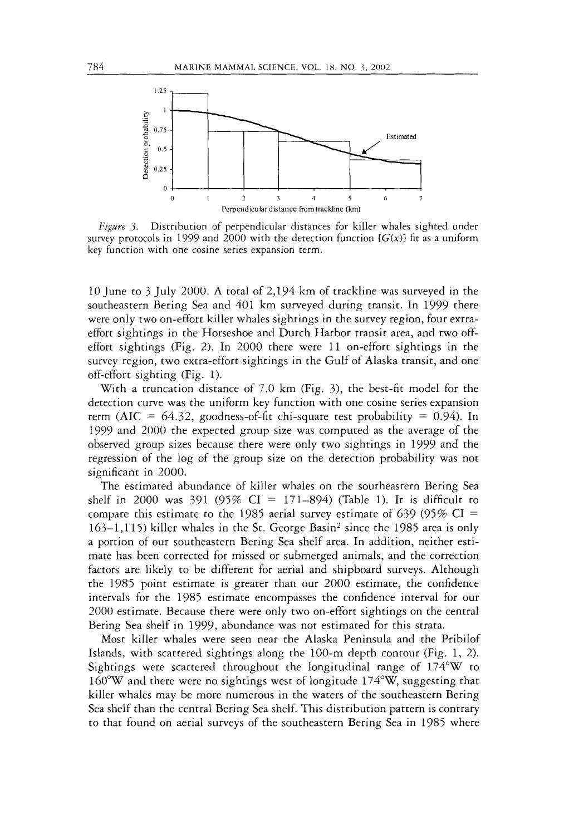

*Figwe 3.* Distribution of perpendicular distances for killer whales sighted under survey protocols in 1999 and 2000 with the detection function  $[G(x)]$  fit as a uniform key function with one cosine series expansion term.

10 June to 3 July 2000. A total of 2,194 km of trackline was surveyed in the southeastern Bering Sea and 401 km surveyed during transit. In 1999 there were only two on-effort killer whales sightings in the survey region, four extraeffort sightings in the Horseshoe and Dutch Harbor transit area, and two offeffort sightings (Fig. 2). In 2000 there were 11 on-effort sightings in the survey region, two extra-effort sightings in the Gulf of Alaska transit, and one off-effort sighting (Fig. 1).

With a truncation distance of 7.0 km (Fig. *3),* the best-fit model for the detection curve was the uniform key function with one cosine series expansion term (AIC =  $64.32$ , goodness-of-fit chi-square test probability = 0.94). In 1999 and 2000 the expected group size was computed as the average of the observed group sizes because there were only two sightings in 1999 and the regression of the log of the group size on the detection probability was not significant in 2000.

The estimated abundance of killer whales on the southeastern Bering Sea shelf in 2000 was 391 (95%  $CI = 171-894$ ) (Table 1). It is difficult to compare this estimate to the 1985 aerial survey estimate of 639 (95% CI = 163-1,115) killer whales in the St. George Basin2 since the 1985 area is only a portion of our southeastern Bering Sea shelf area. In addition, neither estimate has been corrected for missed or submerged animals, and the correction factors are likely to be different for aerial and shipboard surveys. Although the 1985 point estimate is greater than our 2000 estimate, the confidence intervals for the 1985 estimate encompasses the confidence interval for our 2000 estimate. Because there were only two on-effort sightings on the central Bering Sea shelf in 1999, abundance was not estimated for this strata.

Most killer whales were seen near the Alaska Peninsula and the Pribilof Islands, with scattered sightings along the 100-m depth contour (Fig. 1, 2). Sightings were scattered throughout the longitudinal range of 174"W to 160"W and there were no sightings west of longitude 174"W, suggesting that killer whales may be more numerous in the waters of the southeastern Bering Sea shelf than the central Bering Sea shelf. This distribution pattern is contrary to that found on aerial surveys of the southeastern Bering Sea in 1985 where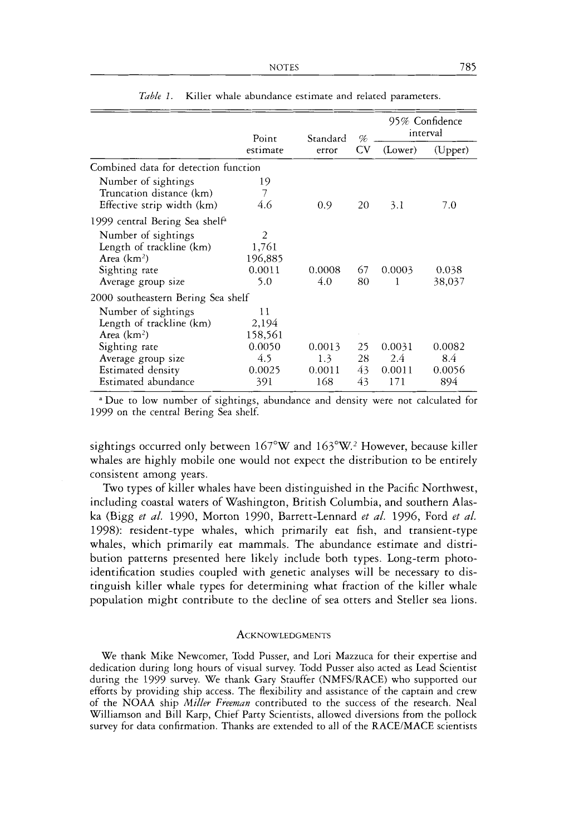|                                                                                                        | Point                                               | Standard                       | %                    | 95% Confidence<br>interval     |                               |
|--------------------------------------------------------------------------------------------------------|-----------------------------------------------------|--------------------------------|----------------------|--------------------------------|-------------------------------|
|                                                                                                        | estimate                                            | error                          | $\rm{CV}$            | (Lower)                        | (Upper)                       |
| Combined data for detection function                                                                   |                                                     |                                |                      |                                |                               |
| Number of sightings<br>Truncation distance (km)<br>Effective strip width (km)                          | 19<br>7<br>4.6                                      | 0.9                            | 20                   | 3.1                            | 7.0                           |
| 1999 central Bering Sea shelf <sup>a</sup>                                                             |                                                     |                                |                      |                                |                               |
| Number of sightings<br>Length of trackline (km)<br>Area $(km2)$<br>Sighting rate<br>Average group size | $\overline{2}$<br>1,761<br>196,885<br>0.0011<br>5.0 | 0.0008<br>4.0                  | 67<br>80             | 0.0003<br>1                    | 0.038<br>38,037               |
| 2000 southeastern Bering Sea shelf                                                                     |                                                     |                                |                      |                                |                               |
| Number of sightings<br>Length of trackline (km)<br>Area $(km2)$                                        | 11<br>2,194<br>158,561                              |                                |                      |                                |                               |
| Sighting rate<br>Average group size<br>Estimated density<br>Estimated abundance                        | 0.0050<br>4.5<br>0.0025<br>391                      | 0.0013<br>1.3<br>0.0011<br>168 | 25<br>28<br>43<br>43 | 0.0031<br>2.4<br>0.0011<br>171 | 0.0082<br>84<br>0.0056<br>894 |

| <i>Table 1.</i> Killer whale abundance estimate and related parameters. |
|-------------------------------------------------------------------------|
|-------------------------------------------------------------------------|

"Due to low number of sightings, abundance and density were not calculated for 1999 on the central Bering Sea shelf.

sightings occurred only between  $167^{\circ}$ W and  $163^{\circ}$ W.<sup>2</sup> However, because killer whales are highly mobile one would not expect the distribution to be entirely consistent among years.

Two types of killer whales have been distinguished in the Pacific Northwest, including coastal waters of Washington, British Columbia, and southern Alas**ka** (Bigg *et al.* 1990, Morton 1990, Barrett-Lennard *et al.* 1996, Ford *et al.*  1998): resident-type whales, which primarily eat fish, and transient-type whales, which primarily eat mammals. The abundance estimate and distribution patterns presented here likely include both types. Long-term photoidentification studies coupled with genetic analyses will be necessary to distinguish killer whale types for determining what fraction of the killer whale population might contribute to the decline of sea otters and Steller sea lions.

## **ACKNOWLEDGMENTS**

We thank Mike Newcomer, Todd Pusser, and Lori Mazzuca for their expertise and dedication during long hours of visual survey. Todd Pusser also acted as Lead Scientist during the 1999 survey. We thank Gary Stauffer (NMFS/RACE) who supported our efforts by providing ship access. The flexibility and assistance of the captain and crew of the NOAA ship *Miller Freeman* contributed to the success of the research. Neal Williamson and Bill Karp, Chief Party Scientists, allowed diversions from the pollock survey for data confirmation. Thanks are extended to all of the RACE/MACE scientists